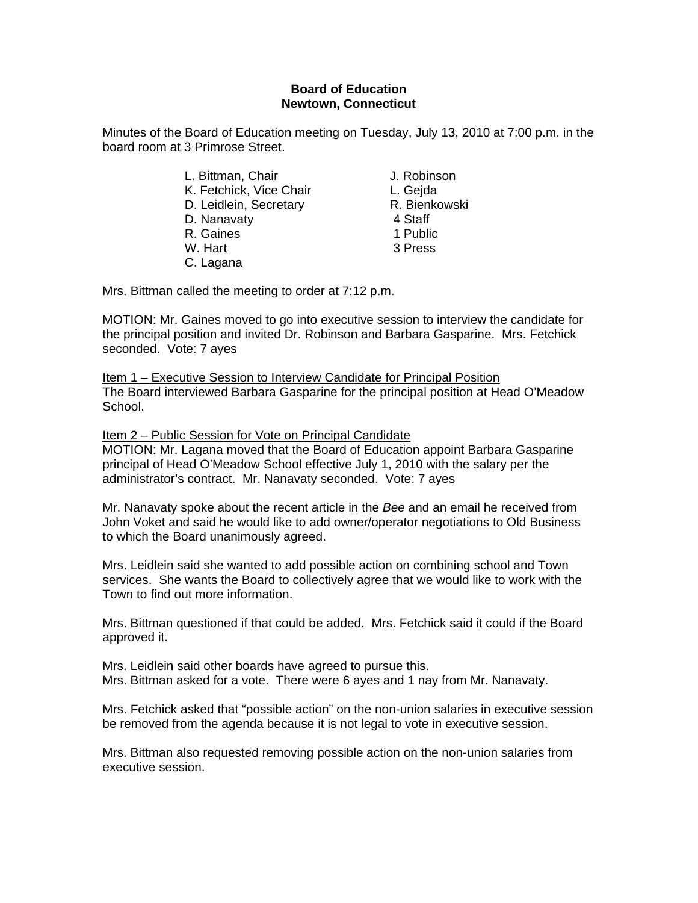# **Board of Education Newtown, Connecticut**

Minutes of the Board of Education meeting on Tuesday, July 13, 2010 at 7:00 p.m. in the board room at 3 Primrose Street.

| L. Bittman, Chair       | J. Robinson   |
|-------------------------|---------------|
| K. Fetchick, Vice Chair | L. Gejda      |
| D. Leidlein, Secretary  | R. Bienkowski |
| D. Nanavaty             | 4 Staff       |
| R. Gaines               | 1 Public      |
| W. Hart                 | 3 Press       |
| C. Lagana               |               |

Mrs. Bittman called the meeting to order at 7:12 p.m.

MOTION: Mr. Gaines moved to go into executive session to interview the candidate for the principal position and invited Dr. Robinson and Barbara Gasparine. Mrs. Fetchick seconded. Vote: 7 ayes

Item 1 – Executive Session to Interview Candidate for Principal Position The Board interviewed Barbara Gasparine for the principal position at Head O'Meadow School.

Item 2 – Public Session for Vote on Principal Candidate MOTION: Mr. Lagana moved that the Board of Education appoint Barbara Gasparine principal of Head O'Meadow School effective July 1, 2010 with the salary per the administrator's contract. Mr. Nanavaty seconded. Vote: 7 ayes

Mr. Nanavaty spoke about the recent article in the *Bee* and an email he received from John Voket and said he would like to add owner/operator negotiations to Old Business to which the Board unanimously agreed.

Mrs. Leidlein said she wanted to add possible action on combining school and Town services. She wants the Board to collectively agree that we would like to work with the Town to find out more information.

Mrs. Bittman questioned if that could be added. Mrs. Fetchick said it could if the Board approved it.

Mrs. Leidlein said other boards have agreed to pursue this. Mrs. Bittman asked for a vote. There were 6 ayes and 1 nay from Mr. Nanavaty.

Mrs. Fetchick asked that "possible action" on the non-union salaries in executive session be removed from the agenda because it is not legal to vote in executive session.

Mrs. Bittman also requested removing possible action on the non-union salaries from executive session.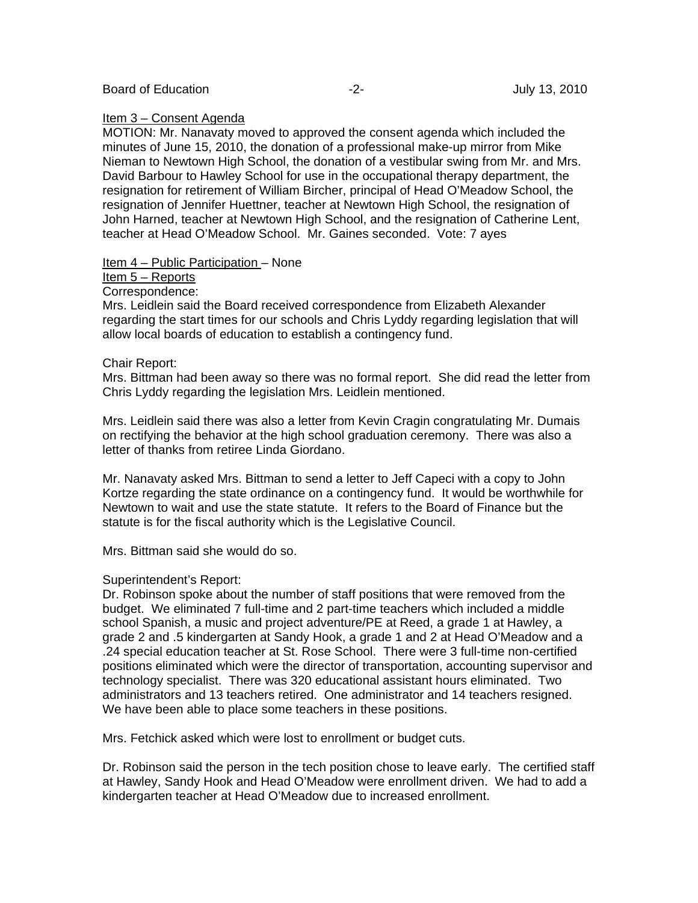### Item 3 – Consent Agenda

MOTION: Mr. Nanavaty moved to approved the consent agenda which included the minutes of June 15, 2010, the donation of a professional make-up mirror from Mike Nieman to Newtown High School, the donation of a vestibular swing from Mr. and Mrs. David Barbour to Hawley School for use in the occupational therapy department, the resignation for retirement of William Bircher, principal of Head O'Meadow School, the resignation of Jennifer Huettner, teacher at Newtown High School, the resignation of John Harned, teacher at Newtown High School, and the resignation of Catherine Lent, teacher at Head O'Meadow School. Mr. Gaines seconded. Vote: 7 ayes

Item 4 – Public Participation – None

### Item 5 – Reports

Correspondence:

Mrs. Leidlein said the Board received correspondence from Elizabeth Alexander regarding the start times for our schools and Chris Lyddy regarding legislation that will allow local boards of education to establish a contingency fund.

# Chair Report:

Mrs. Bittman had been away so there was no formal report. She did read the letter from Chris Lyddy regarding the legislation Mrs. Leidlein mentioned.

Mrs. Leidlein said there was also a letter from Kevin Cragin congratulating Mr. Dumais on rectifying the behavior at the high school graduation ceremony. There was also a letter of thanks from retiree Linda Giordano.

Mr. Nanavaty asked Mrs. Bittman to send a letter to Jeff Capeci with a copy to John Kortze regarding the state ordinance on a contingency fund. It would be worthwhile for Newtown to wait and use the state statute. It refers to the Board of Finance but the statute is for the fiscal authority which is the Legislative Council.

Mrs. Bittman said she would do so.

# Superintendent's Report:

Dr. Robinson spoke about the number of staff positions that were removed from the budget. We eliminated 7 full-time and 2 part-time teachers which included a middle school Spanish, a music and project adventure/PE at Reed, a grade 1 at Hawley, a grade 2 and .5 kindergarten at Sandy Hook, a grade 1 and 2 at Head O'Meadow and a .24 special education teacher at St. Rose School. There were 3 full-time non-certified positions eliminated which were the director of transportation, accounting supervisor and technology specialist. There was 320 educational assistant hours eliminated. Two administrators and 13 teachers retired. One administrator and 14 teachers resigned. We have been able to place some teachers in these positions.

Mrs. Fetchick asked which were lost to enrollment or budget cuts.

Dr. Robinson said the person in the tech position chose to leave early. The certified staff at Hawley, Sandy Hook and Head O'Meadow were enrollment driven. We had to add a kindergarten teacher at Head O'Meadow due to increased enrollment.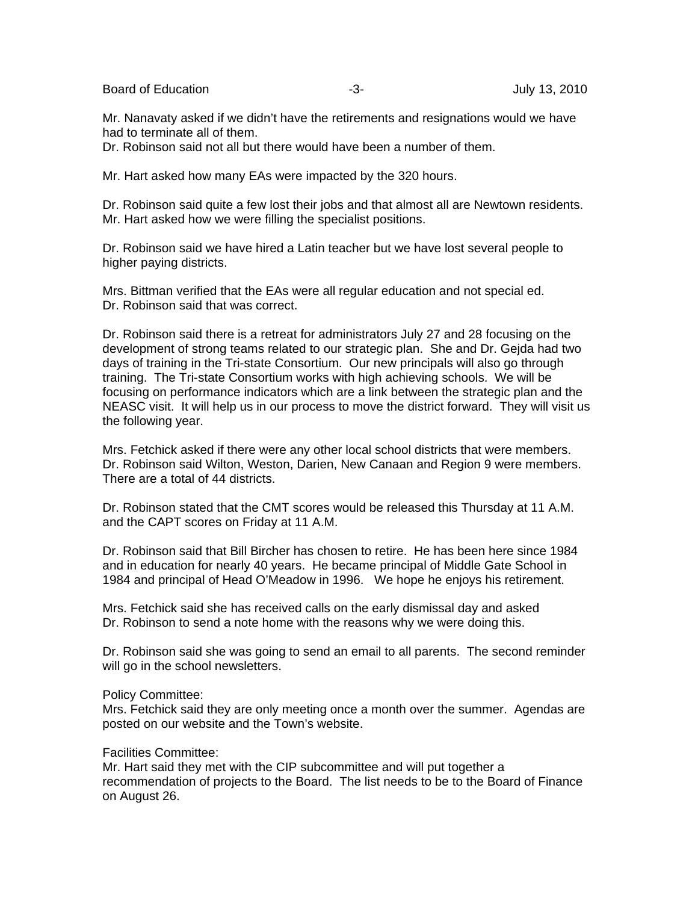Board of Education **-3-** Figure -3- Figure -3- Figure -3- July 13, 2010

Mr. Nanavaty asked if we didn't have the retirements and resignations would we have had to terminate all of them.

Dr. Robinson said not all but there would have been a number of them.

Mr. Hart asked how many EAs were impacted by the 320 hours.

Dr. Robinson said quite a few lost their jobs and that almost all are Newtown residents. Mr. Hart asked how we were filling the specialist positions.

Dr. Robinson said we have hired a Latin teacher but we have lost several people to higher paying districts.

Mrs. Bittman verified that the EAs were all regular education and not special ed. Dr. Robinson said that was correct.

Dr. Robinson said there is a retreat for administrators July 27 and 28 focusing on the development of strong teams related to our strategic plan. She and Dr. Gejda had two days of training in the Tri-state Consortium. Our new principals will also go through training. The Tri-state Consortium works with high achieving schools. We will be focusing on performance indicators which are a link between the strategic plan and the NEASC visit. It will help us in our process to move the district forward. They will visit us the following year.

Mrs. Fetchick asked if there were any other local school districts that were members. Dr. Robinson said Wilton, Weston, Darien, New Canaan and Region 9 were members. There are a total of 44 districts.

Dr. Robinson stated that the CMT scores would be released this Thursday at 11 A.M. and the CAPT scores on Friday at 11 A.M.

Dr. Robinson said that Bill Bircher has chosen to retire. He has been here since 1984 and in education for nearly 40 years. He became principal of Middle Gate School in 1984 and principal of Head O'Meadow in 1996. We hope he enjoys his retirement.

Mrs. Fetchick said she has received calls on the early dismissal day and asked Dr. Robinson to send a note home with the reasons why we were doing this.

Dr. Robinson said she was going to send an email to all parents. The second reminder will go in the school newsletters.

#### Policy Committee:

Mrs. Fetchick said they are only meeting once a month over the summer. Agendas are posted on our website and the Town's website.

# Facilities Committee:

Mr. Hart said they met with the CIP subcommittee and will put together a recommendation of projects to the Board. The list needs to be to the Board of Finance on August 26.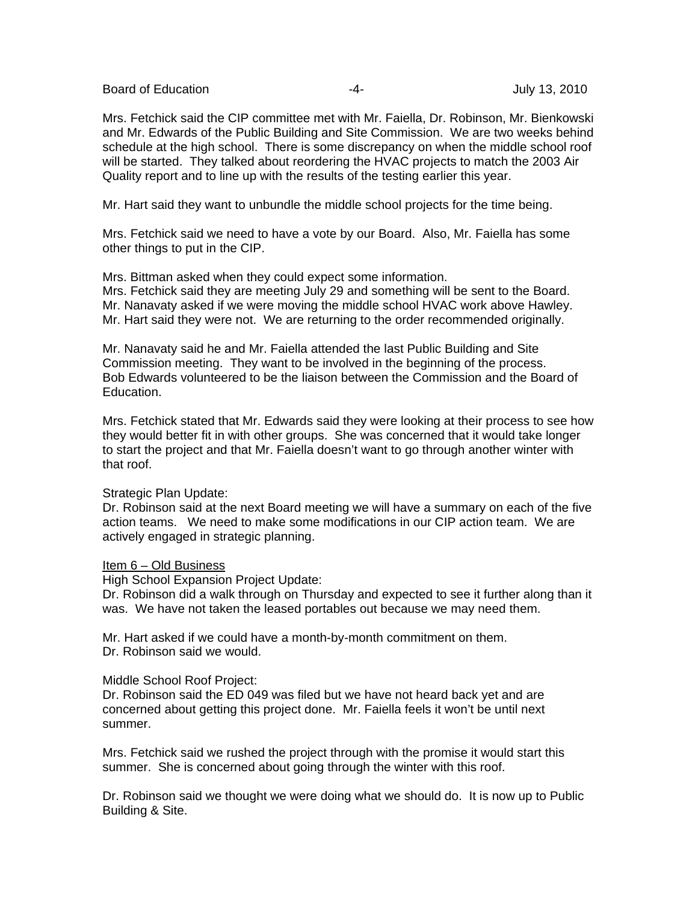Board of Education **-4-** Figure -4- Figure -4- All the Unit of Education of Education and Table 14-

Mrs. Fetchick said the CIP committee met with Mr. Faiella, Dr. Robinson, Mr. Bienkowski and Mr. Edwards of the Public Building and Site Commission. We are two weeks behind schedule at the high school. There is some discrepancy on when the middle school roof will be started. They talked about reordering the HVAC projects to match the 2003 Air Quality report and to line up with the results of the testing earlier this year.

Mr. Hart said they want to unbundle the middle school projects for the time being.

Mrs. Fetchick said we need to have a vote by our Board. Also, Mr. Faiella has some other things to put in the CIP.

Mrs. Bittman asked when they could expect some information.

Mrs. Fetchick said they are meeting July 29 and something will be sent to the Board. Mr. Nanavaty asked if we were moving the middle school HVAC work above Hawley. Mr. Hart said they were not. We are returning to the order recommended originally.

Mr. Nanavaty said he and Mr. Faiella attended the last Public Building and Site Commission meeting. They want to be involved in the beginning of the process. Bob Edwards volunteered to be the liaison between the Commission and the Board of Education.

Mrs. Fetchick stated that Mr. Edwards said they were looking at their process to see how they would better fit in with other groups. She was concerned that it would take longer to start the project and that Mr. Faiella doesn't want to go through another winter with that roof.

### Strategic Plan Update:

Dr. Robinson said at the next Board meeting we will have a summary on each of the five action teams. We need to make some modifications in our CIP action team. We are actively engaged in strategic planning.

### Item 6 – Old Business

High School Expansion Project Update:

Dr. Robinson did a walk through on Thursday and expected to see it further along than it was. We have not taken the leased portables out because we may need them.

Mr. Hart asked if we could have a month-by-month commitment on them. Dr. Robinson said we would.

### Middle School Roof Project:

Dr. Robinson said the ED 049 was filed but we have not heard back yet and are concerned about getting this project done. Mr. Faiella feels it won't be until next summer.

Mrs. Fetchick said we rushed the project through with the promise it would start this summer. She is concerned about going through the winter with this roof.

Dr. Robinson said we thought we were doing what we should do. It is now up to Public Building & Site.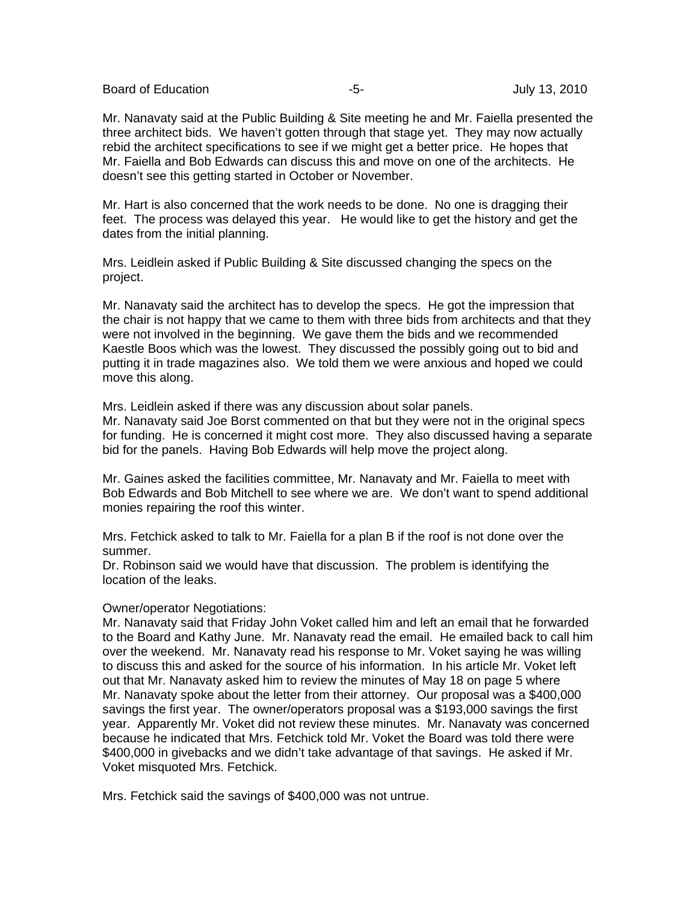Board of Education **-5-** Formulation **-5-** Formulation of Education **-5-** Formulation  $\overline{S}$ 

Mr. Nanavaty said at the Public Building & Site meeting he and Mr. Faiella presented the three architect bids. We haven't gotten through that stage yet. They may now actually rebid the architect specifications to see if we might get a better price. He hopes that Mr. Faiella and Bob Edwards can discuss this and move on one of the architects. He doesn't see this getting started in October or November.

Mr. Hart is also concerned that the work needs to be done. No one is dragging their feet. The process was delayed this year. He would like to get the history and get the dates from the initial planning.

Mrs. Leidlein asked if Public Building & Site discussed changing the specs on the project.

Mr. Nanavaty said the architect has to develop the specs. He got the impression that the chair is not happy that we came to them with three bids from architects and that they were not involved in the beginning. We gave them the bids and we recommended Kaestle Boos which was the lowest. They discussed the possibly going out to bid and putting it in trade magazines also. We told them we were anxious and hoped we could move this along.

Mrs. Leidlein asked if there was any discussion about solar panels. Mr. Nanavaty said Joe Borst commented on that but they were not in the original specs for funding. He is concerned it might cost more. They also discussed having a separate

bid for the panels. Having Bob Edwards will help move the project along.

Mr. Gaines asked the facilities committee, Mr. Nanavaty and Mr. Faiella to meet with Bob Edwards and Bob Mitchell to see where we are. We don't want to spend additional monies repairing the roof this winter.

Mrs. Fetchick asked to talk to Mr. Faiella for a plan B if the roof is not done over the summer.

Dr. Robinson said we would have that discussion. The problem is identifying the location of the leaks.

### Owner/operator Negotiations:

Mr. Nanavaty said that Friday John Voket called him and left an email that he forwarded to the Board and Kathy June. Mr. Nanavaty read the email. He emailed back to call him over the weekend. Mr. Nanavaty read his response to Mr. Voket saying he was willing to discuss this and asked for the source of his information. In his article Mr. Voket left out that Mr. Nanavaty asked him to review the minutes of May 18 on page 5 where Mr. Nanavaty spoke about the letter from their attorney. Our proposal was a \$400,000 savings the first year. The owner/operators proposal was a \$193,000 savings the first year. Apparently Mr. Voket did not review these minutes. Mr. Nanavaty was concerned because he indicated that Mrs. Fetchick told Mr. Voket the Board was told there were \$400,000 in givebacks and we didn't take advantage of that savings. He asked if Mr. Voket misquoted Mrs. Fetchick.

Mrs. Fetchick said the savings of \$400,000 was not untrue.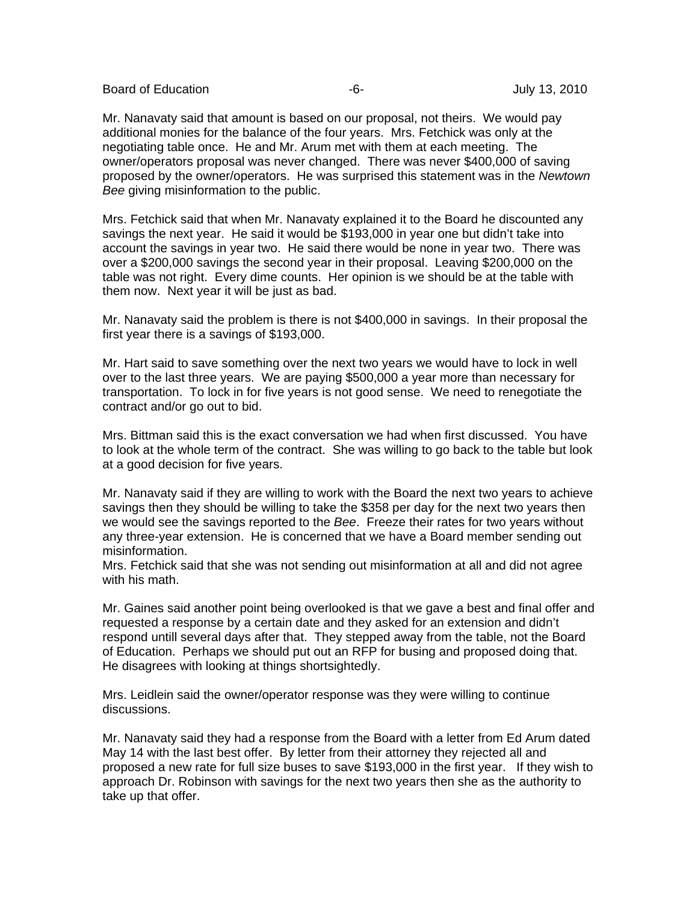Board of Education **-6-** Figure -6- Figure -6- Figure -6- Figure -1.1 and Tuly 13, 2010

Mr. Nanavaty said that amount is based on our proposal, not theirs. We would pay additional monies for the balance of the four years. Mrs. Fetchick was only at the negotiating table once. He and Mr. Arum met with them at each meeting. The owner/operators proposal was never changed. There was never \$400,000 of saving proposed by the owner/operators. He was surprised this statement was in the *Newtown Bee* giving misinformation to the public.

Mrs. Fetchick said that when Mr. Nanavaty explained it to the Board he discounted any savings the next year. He said it would be \$193,000 in year one but didn't take into account the savings in year two. He said there would be none in year two. There was over a \$200,000 savings the second year in their proposal. Leaving \$200,000 on the table was not right. Every dime counts. Her opinion is we should be at the table with them now. Next year it will be just as bad.

Mr. Nanavaty said the problem is there is not \$400,000 in savings. In their proposal the first year there is a savings of \$193,000.

Mr. Hart said to save something over the next two years we would have to lock in well over to the last three years. We are paying \$500,000 a year more than necessary for transportation. To lock in for five years is not good sense. We need to renegotiate the contract and/or go out to bid.

Mrs. Bittman said this is the exact conversation we had when first discussed. You have to look at the whole term of the contract. She was willing to go back to the table but look at a good decision for five years.

Mr. Nanavaty said if they are willing to work with the Board the next two years to achieve savings then they should be willing to take the \$358 per day for the next two years then we would see the savings reported to the *Bee*. Freeze their rates for two years without any three-year extension. He is concerned that we have a Board member sending out misinformation.

Mrs. Fetchick said that she was not sending out misinformation at all and did not agree with his math.

Mr. Gaines said another point being overlooked is that we gave a best and final offer and requested a response by a certain date and they asked for an extension and didn't respond untill several days after that. They stepped away from the table, not the Board of Education. Perhaps we should put out an RFP for busing and proposed doing that. He disagrees with looking at things shortsightedly.

Mrs. Leidlein said the owner/operator response was they were willing to continue discussions.

Mr. Nanavaty said they had a response from the Board with a letter from Ed Arum dated May 14 with the last best offer. By letter from their attorney they rejected all and proposed a new rate for full size buses to save \$193,000 in the first year. If they wish to approach Dr. Robinson with savings for the next two years then she as the authority to take up that offer.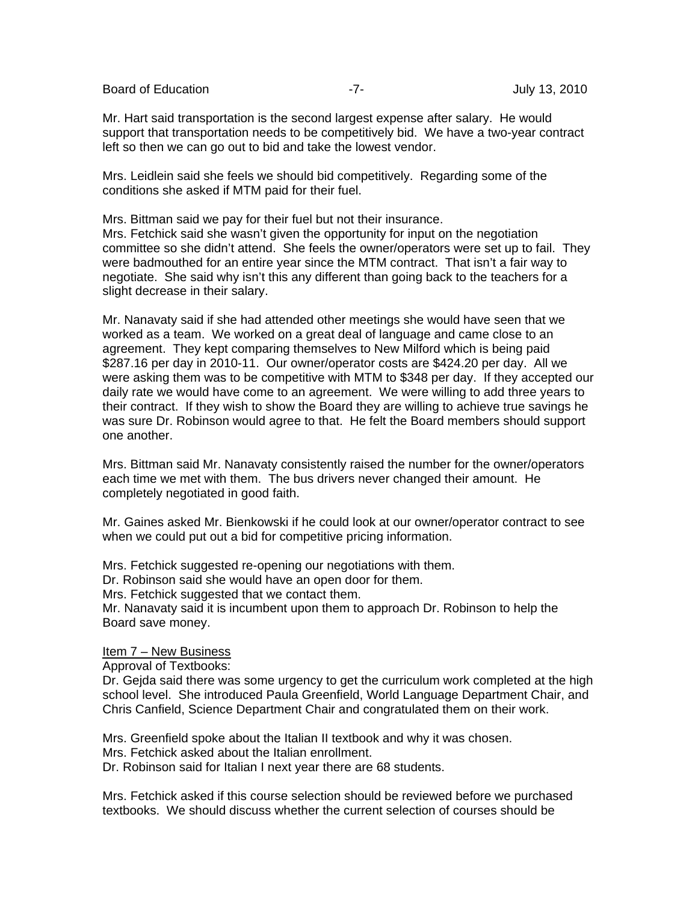Board of Education **-7-** Figure -7- Figure -7-

Mr. Hart said transportation is the second largest expense after salary. He would support that transportation needs to be competitively bid. We have a two-year contract left so then we can go out to bid and take the lowest vendor.

Mrs. Leidlein said she feels we should bid competitively. Regarding some of the conditions she asked if MTM paid for their fuel.

Mrs. Bittman said we pay for their fuel but not their insurance. Mrs. Fetchick said she wasn't given the opportunity for input on the negotiation committee so she didn't attend. She feels the owner/operators were set up to fail. They were badmouthed for an entire year since the MTM contract. That isn't a fair way to negotiate. She said why isn't this any different than going back to the teachers for a slight decrease in their salary.

Mr. Nanavaty said if she had attended other meetings she would have seen that we worked as a team. We worked on a great deal of language and came close to an agreement. They kept comparing themselves to New Milford which is being paid \$287.16 per day in 2010-11. Our owner/operator costs are \$424.20 per day. All we were asking them was to be competitive with MTM to \$348 per day. If they accepted our daily rate we would have come to an agreement. We were willing to add three years to their contract. If they wish to show the Board they are willing to achieve true savings he was sure Dr. Robinson would agree to that. He felt the Board members should support one another.

Mrs. Bittman said Mr. Nanavaty consistently raised the number for the owner/operators each time we met with them. The bus drivers never changed their amount. He completely negotiated in good faith.

Mr. Gaines asked Mr. Bienkowski if he could look at our owner/operator contract to see when we could put out a bid for competitive pricing information.

Mrs. Fetchick suggested re-opening our negotiations with them.

Dr. Robinson said she would have an open door for them.

Mrs. Fetchick suggested that we contact them.

Mr. Nanavaty said it is incumbent upon them to approach Dr. Robinson to help the Board save money.

### Item 7 - New Business

Approval of Textbooks:

Dr. Gejda said there was some urgency to get the curriculum work completed at the high school level. She introduced Paula Greenfield, World Language Department Chair, and Chris Canfield, Science Department Chair and congratulated them on their work.

Mrs. Greenfield spoke about the Italian II textbook and why it was chosen. Mrs. Fetchick asked about the Italian enrollment. Dr. Robinson said for Italian I next year there are 68 students.

Mrs. Fetchick asked if this course selection should be reviewed before we purchased textbooks. We should discuss whether the current selection of courses should be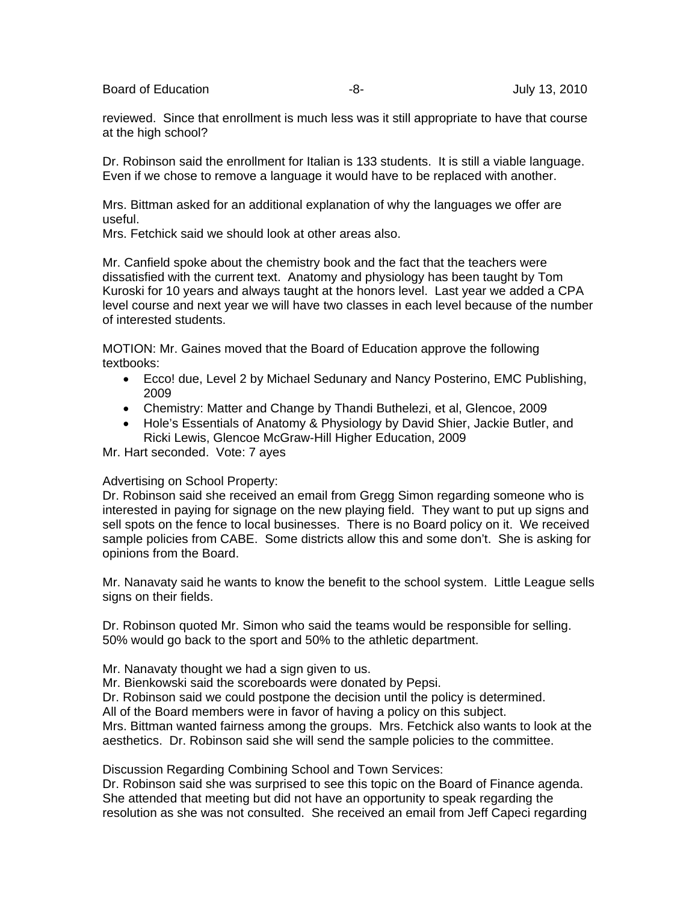Board of Education **-8-** Figure -8- Figure 13, 2010

reviewed. Since that enrollment is much less was it still appropriate to have that course at the high school?

Dr. Robinson said the enrollment for Italian is 133 students. It is still a viable language. Even if we chose to remove a language it would have to be replaced with another.

Mrs. Bittman asked for an additional explanation of why the languages we offer are useful.

Mrs. Fetchick said we should look at other areas also.

Mr. Canfield spoke about the chemistry book and the fact that the teachers were dissatisfied with the current text. Anatomy and physiology has been taught by Tom Kuroski for 10 years and always taught at the honors level. Last year we added a CPA level course and next year we will have two classes in each level because of the number of interested students.

MOTION: Mr. Gaines moved that the Board of Education approve the following textbooks:

- Ecco! due, Level 2 by Michael Sedunary and Nancy Posterino, EMC Publishing, 2009
- Chemistry: Matter and Change by Thandi Buthelezi, et al, Glencoe, 2009
- Hole's Essentials of Anatomy & Physiology by David Shier, Jackie Butler, and Ricki Lewis, Glencoe McGraw-Hill Higher Education, 2009

Mr. Hart seconded. Vote: 7 ayes

### Advertising on School Property:

Dr. Robinson said she received an email from Gregg Simon regarding someone who is interested in paying for signage on the new playing field. They want to put up signs and sell spots on the fence to local businesses. There is no Board policy on it. We received sample policies from CABE. Some districts allow this and some don't. She is asking for opinions from the Board.

Mr. Nanavaty said he wants to know the benefit to the school system. Little League sells signs on their fields.

Dr. Robinson quoted Mr. Simon who said the teams would be responsible for selling. 50% would go back to the sport and 50% to the athletic department.

Mr. Nanavaty thought we had a sign given to us.

Mr. Bienkowski said the scoreboards were donated by Pepsi.

Dr. Robinson said we could postpone the decision until the policy is determined.

All of the Board members were in favor of having a policy on this subject.

Mrs. Bittman wanted fairness among the groups. Mrs. Fetchick also wants to look at the aesthetics. Dr. Robinson said she will send the sample policies to the committee.

Discussion Regarding Combining School and Town Services:

Dr. Robinson said she was surprised to see this topic on the Board of Finance agenda. She attended that meeting but did not have an opportunity to speak regarding the resolution as she was not consulted. She received an email from Jeff Capeci regarding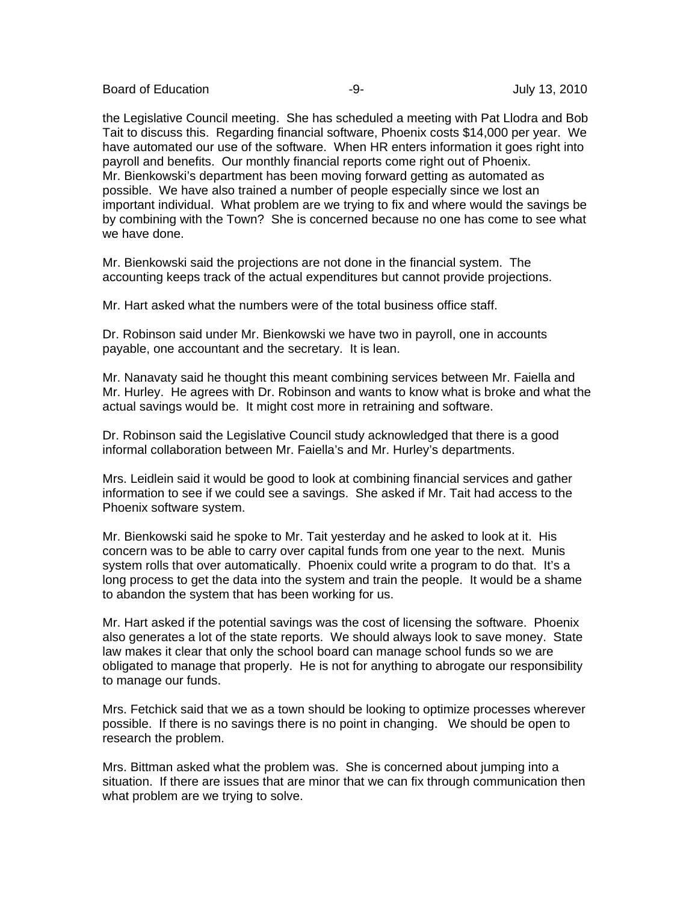Board of Education **-9-** Figure -9- Figure 13, 2010

the Legislative Council meeting. She has scheduled a meeting with Pat Llodra and Bob Tait to discuss this. Regarding financial software, Phoenix costs \$14,000 per year. We have automated our use of the software. When HR enters information it goes right into payroll and benefits. Our monthly financial reports come right out of Phoenix. Mr. Bienkowski's department has been moving forward getting as automated as possible. We have also trained a number of people especially since we lost an important individual. What problem are we trying to fix and where would the savings be by combining with the Town? She is concerned because no one has come to see what we have done.

Mr. Bienkowski said the projections are not done in the financial system. The accounting keeps track of the actual expenditures but cannot provide projections.

Mr. Hart asked what the numbers were of the total business office staff.

Dr. Robinson said under Mr. Bienkowski we have two in payroll, one in accounts payable, one accountant and the secretary. It is lean.

Mr. Nanavaty said he thought this meant combining services between Mr. Faiella and Mr. Hurley. He agrees with Dr. Robinson and wants to know what is broke and what the actual savings would be. It might cost more in retraining and software.

Dr. Robinson said the Legislative Council study acknowledged that there is a good informal collaboration between Mr. Faiella's and Mr. Hurley's departments.

Mrs. Leidlein said it would be good to look at combining financial services and gather information to see if we could see a savings. She asked if Mr. Tait had access to the Phoenix software system.

Mr. Bienkowski said he spoke to Mr. Tait yesterday and he asked to look at it. His concern was to be able to carry over capital funds from one year to the next. Munis system rolls that over automatically. Phoenix could write a program to do that. It's a long process to get the data into the system and train the people. It would be a shame to abandon the system that has been working for us.

Mr. Hart asked if the potential savings was the cost of licensing the software. Phoenix also generates a lot of the state reports. We should always look to save money. State law makes it clear that only the school board can manage school funds so we are obligated to manage that properly. He is not for anything to abrogate our responsibility to manage our funds.

Mrs. Fetchick said that we as a town should be looking to optimize processes wherever possible. If there is no savings there is no point in changing. We should be open to research the problem.

Mrs. Bittman asked what the problem was. She is concerned about jumping into a situation. If there are issues that are minor that we can fix through communication then what problem are we trying to solve.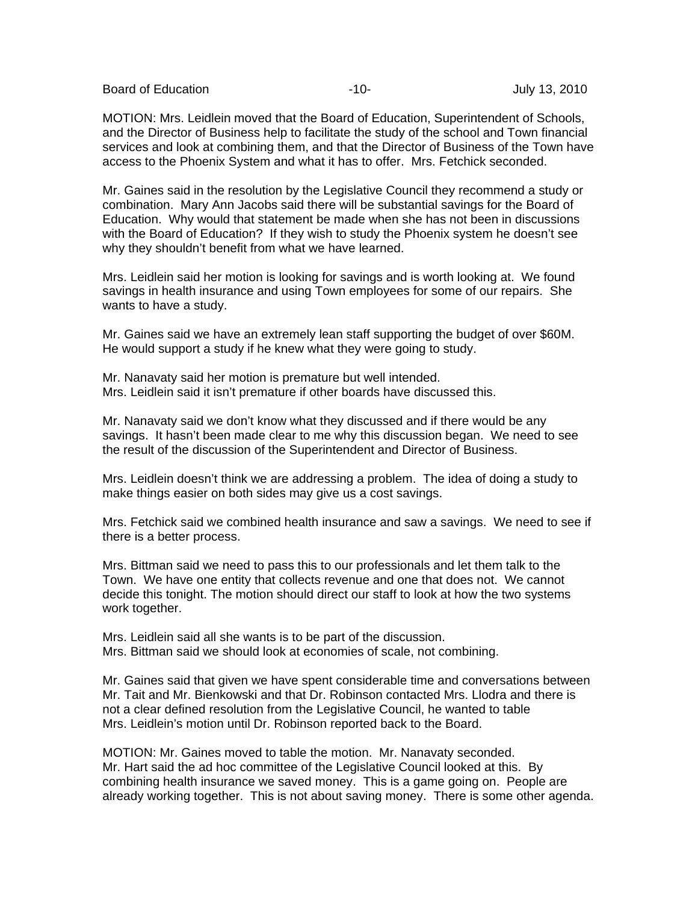Board of Education **-10-** Figure 10- All the state of Education of Education and the state of the state of the state of the state of the state of the state of the state of the state of the state of the state of the state o

MOTION: Mrs. Leidlein moved that the Board of Education, Superintendent of Schools, and the Director of Business help to facilitate the study of the school and Town financial services and look at combining them, and that the Director of Business of the Town have access to the Phoenix System and what it has to offer. Mrs. Fetchick seconded.

Mr. Gaines said in the resolution by the Legislative Council they recommend a study or combination. Mary Ann Jacobs said there will be substantial savings for the Board of Education. Why would that statement be made when she has not been in discussions with the Board of Education? If they wish to study the Phoenix system he doesn't see why they shouldn't benefit from what we have learned.

Mrs. Leidlein said her motion is looking for savings and is worth looking at. We found savings in health insurance and using Town employees for some of our repairs. She wants to have a study.

Mr. Gaines said we have an extremely lean staff supporting the budget of over \$60M. He would support a study if he knew what they were going to study.

Mr. Nanavaty said her motion is premature but well intended. Mrs. Leidlein said it isn't premature if other boards have discussed this.

Mr. Nanavaty said we don't know what they discussed and if there would be any savings. It hasn't been made clear to me why this discussion began. We need to see the result of the discussion of the Superintendent and Director of Business.

Mrs. Leidlein doesn't think we are addressing a problem. The idea of doing a study to make things easier on both sides may give us a cost savings.

Mrs. Fetchick said we combined health insurance and saw a savings. We need to see if there is a better process.

Mrs. Bittman said we need to pass this to our professionals and let them talk to the Town. We have one entity that collects revenue and one that does not. We cannot decide this tonight. The motion should direct our staff to look at how the two systems work together.

Mrs. Leidlein said all she wants is to be part of the discussion. Mrs. Bittman said we should look at economies of scale, not combining.

Mr. Gaines said that given we have spent considerable time and conversations between Mr. Tait and Mr. Bienkowski and that Dr. Robinson contacted Mrs. Llodra and there is not a clear defined resolution from the Legislative Council, he wanted to table Mrs. Leidlein's motion until Dr. Robinson reported back to the Board.

MOTION: Mr. Gaines moved to table the motion. Mr. Nanavaty seconded. Mr. Hart said the ad hoc committee of the Legislative Council looked at this. By combining health insurance we saved money. This is a game going on. People are already working together. This is not about saving money. There is some other agenda.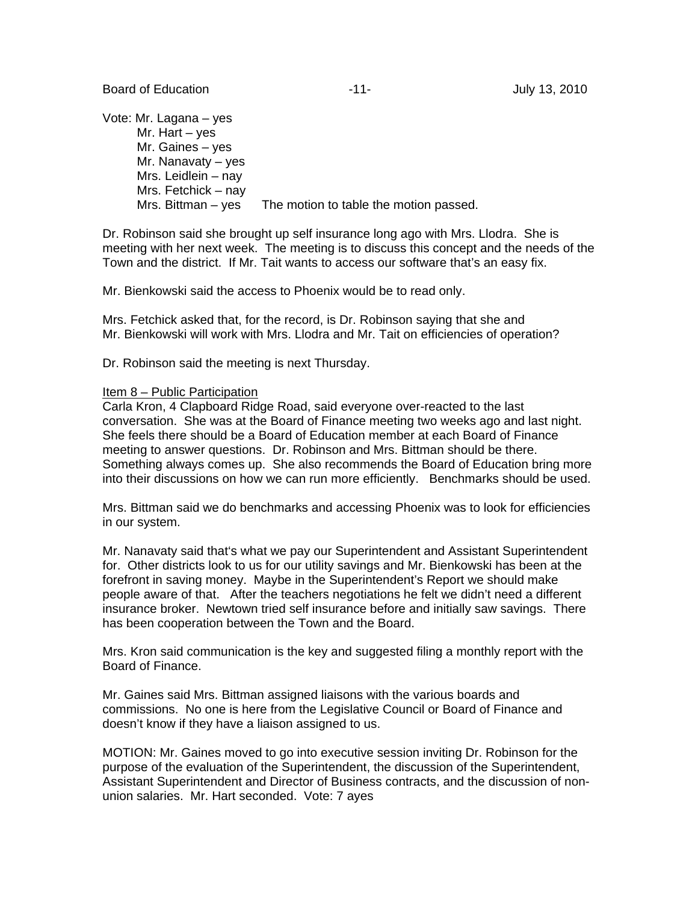Vote: Mr. Lagana – yes Mr. Hart – yes Mr. Gaines – yes Mr. Nanavaty – yes Mrs. Leidlein – nay Mrs. Fetchick – nay Mrs. Bittman – yes The motion to table the motion passed.

Dr. Robinson said she brought up self insurance long ago with Mrs. Llodra. She is meeting with her next week. The meeting is to discuss this concept and the needs of the Town and the district. If Mr. Tait wants to access our software that's an easy fix.

Mr. Bienkowski said the access to Phoenix would be to read only.

Mrs. Fetchick asked that, for the record, is Dr. Robinson saying that she and Mr. Bienkowski will work with Mrs. Llodra and Mr. Tait on efficiencies of operation?

Dr. Robinson said the meeting is next Thursday.

#### Item 8 – Public Participation

Carla Kron, 4 Clapboard Ridge Road, said everyone over-reacted to the last conversation. She was at the Board of Finance meeting two weeks ago and last night. She feels there should be a Board of Education member at each Board of Finance meeting to answer questions. Dr. Robinson and Mrs. Bittman should be there. Something always comes up. She also recommends the Board of Education bring more into their discussions on how we can run more efficiently. Benchmarks should be used.

Mrs. Bittman said we do benchmarks and accessing Phoenix was to look for efficiencies in our system.

Mr. Nanavaty said that's what we pay our Superintendent and Assistant Superintendent for. Other districts look to us for our utility savings and Mr. Bienkowski has been at the forefront in saving money. Maybe in the Superintendent's Report we should make people aware of that. After the teachers negotiations he felt we didn't need a different insurance broker. Newtown tried self insurance before and initially saw savings. There has been cooperation between the Town and the Board.

Mrs. Kron said communication is the key and suggested filing a monthly report with the Board of Finance.

Mr. Gaines said Mrs. Bittman assigned liaisons with the various boards and commissions. No one is here from the Legislative Council or Board of Finance and doesn't know if they have a liaison assigned to us.

MOTION: Mr. Gaines moved to go into executive session inviting Dr. Robinson for the purpose of the evaluation of the Superintendent, the discussion of the Superintendent, Assistant Superintendent and Director of Business contracts, and the discussion of nonunion salaries. Mr. Hart seconded. Vote: 7 ayes